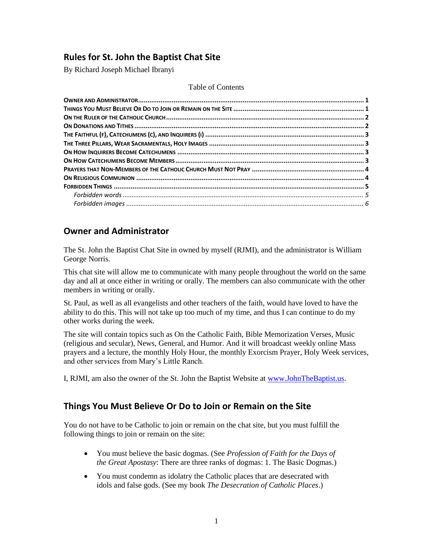## **Rules for St. John the Baptist Chat Site**

By Richard Joseph Michael Ibranyi

#### Table of Contents

#### <span id="page-0-0"></span>**Owner and Administrator**

The St. John the Baptist Chat Site in owned by myself (RJMI), and the administrator is William George Norris.

This chat site will allow me to communicate with many people throughout the world on the same day and all at once either in writing or orally. The members can also communicate with the other members in writing or orally.

St. Paul, as well as all evangelists and other teachers of the faith, would have loved to have the ability to do this. This will not take up too much of my time, and thus I can continue to do my other works during the week.

The site will contain topics such as On the Catholic Faith, Bible Memorization Verses, Music (religious and secular), News, General, and Humor. And it will broadcast weekly online Mass prayers and a lecture, the monthly Holy Hour, the monthly Exorcism Prayer, Holy Week services, and other services from Mary's Little Ranch.

I, RJMI, am also the owner of the St. John the Baptist Website at [www.JohnTheBaptist.us.](http://www.johnthebaptist.us/)

#### <span id="page-0-1"></span>**Things You Must Believe Or Do to Join or Remain on the Site**

You do not have to be Catholic to join or remain on the chat site, but you must fulfill the following things to join or remain on the site:

- You must believe the basic dogmas. (See *Profession of Faith for the Days of the Great Apostasy*: There are three ranks of dogmas: 1. The Basic Dogmas.)
- You must condemn as idolatry the Catholic places that are desecrated with idols and false gods. (See my book *The Desecration of Catholic Places*.)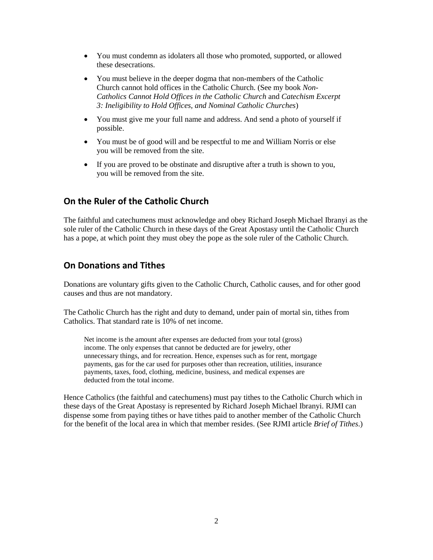- You must condemn as idolaters all those who promoted, supported, or allowed these desecrations.
- You must believe in the deeper dogma that non-members of the Catholic Church cannot hold offices in the Catholic Church. (See my book *Non-Catholics Cannot Hold Offices in the Catholic Church* and *Catechism Excerpt 3: Ineligibility to Hold Offices, and Nominal Catholic Churches*)
- You must give me your full name and address. And send a photo of yourself if possible.
- You must be of good will and be respectful to me and William Norris or else you will be removed from the site.
- If you are proved to be obstinate and disruptive after a truth is shown to you, you will be removed from the site.

#### <span id="page-1-0"></span>**On the Ruler of the Catholic Church**

The faithful and catechumens must acknowledge and obey Richard Joseph Michael Ibranyi as the sole ruler of the Catholic Church in these days of the Great Apostasy until the Catholic Church has a pope, at which point they must obey the pope as the sole ruler of the Catholic Church.

#### <span id="page-1-1"></span>**On Donations and Tithes**

Donations are voluntary gifts given to the Catholic Church, Catholic causes, and for other good causes and thus are not mandatory.

The Catholic Church has the right and duty to demand, under pain of mortal sin, tithes from Catholics. That standard rate is 10% of net income.

Net income is the amount after expenses are deducted from your total (gross) income. The only expenses that cannot be deducted are for jewelry, other unnecessary things, and for recreation. Hence, expenses such as for rent, mortgage payments, gas for the car used for purposes other than recreation, utilities, insurance payments, taxes, food, clothing, medicine, business, and medical expenses are deducted from the total income.

Hence Catholics (the faithful and catechumens) must pay tithes to the Catholic Church which in these days of the Great Apostasy is represented by Richard Joseph Michael Ibranyi. RJMI can dispense some from paying tithes or have tithes paid to another member of the Catholic Church for the benefit of the local area in which that member resides. (See RJMI article *Brief of Tithes*.)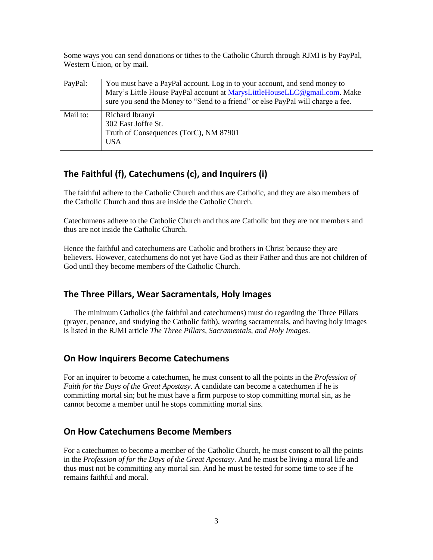Some ways you can send donations or tithes to the Catholic Church through RJMI is by PayPal, Western Union, or by mail.

| PayPal:  | You must have a PayPal account. Log in to your account, and send money to<br>Mary's Little House PayPal account at MarysLittleHouseLLC@gmail.com. Make<br>sure you send the Money to "Send to a friend" or else PayPal will charge a fee. |
|----------|-------------------------------------------------------------------------------------------------------------------------------------------------------------------------------------------------------------------------------------------|
| Mail to: | Richard Ibranyi<br>302 East Joffre St.<br>Truth of Consequences (TorC), NM 87901<br><b>USA</b>                                                                                                                                            |

# <span id="page-2-0"></span>**The Faithful (f), Catechumens (c), and Inquirers (i)**

The faithful adhere to the Catholic Church and thus are Catholic, and they are also members of the Catholic Church and thus are inside the Catholic Church.

Catechumens adhere to the Catholic Church and thus are Catholic but they are not members and thus are not inside the Catholic Church.

Hence the faithful and catechumens are Catholic and brothers in Christ because they are believers. However, catechumens do not yet have God as their Father and thus are not children of God until they become members of the Catholic Church.

## <span id="page-2-1"></span>**The Three Pillars, Wear Sacramentals, Holy Images**

The minimum Catholics (the faithful and catechumens) must do regarding the Three Pillars (prayer, penance, and studying the Catholic faith), wearing sacramentals, and having holy images is listed in the RJMI article *The Three Pillars, Sacramentals, and Holy Images*.

## <span id="page-2-2"></span>**On How Inquirers Become Catechumens**

For an inquirer to become a catechumen, he must consent to all the points in the *Profession of Faith for the Days of the Great Apostasy*. A candidate can become a catechumen if he is committing mortal sin; but he must have a firm purpose to stop committing mortal sin, as he cannot become a member until he stops committing mortal sins.

## <span id="page-2-3"></span>**On How Catechumens Become Members**

For a catechumen to become a member of the Catholic Church, he must consent to all the points in the *Profession of for the Days of the Great Apostasy*. And he must be living a moral life and thus must not be committing any mortal sin. And he must be tested for some time to see if he remains faithful and moral.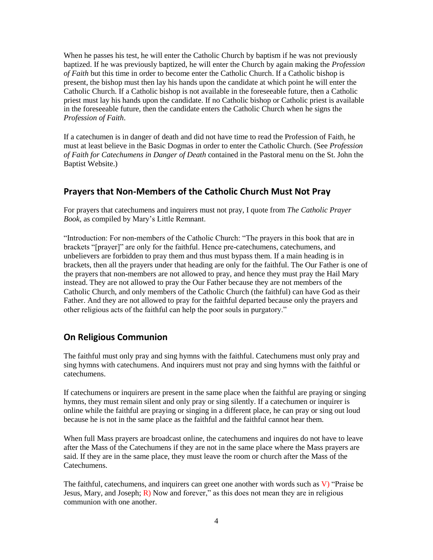When he passes his test, he will enter the Catholic Church by baptism if he was not previously baptized. If he was previously baptized, he will enter the Church by again making the *Profession of Faith* but this time in order to become enter the Catholic Church. If a Catholic bishop is present, the bishop must then lay his hands upon the candidate at which point he will enter the Catholic Church. If a Catholic bishop is not available in the foreseeable future, then a Catholic priest must lay his hands upon the candidate. If no Catholic bishop or Catholic priest is available in the foreseeable future, then the candidate enters the Catholic Church when he signs the *Profession of Faith*.

If a catechumen is in danger of death and did not have time to read the Profession of Faith, he must at least believe in the Basic Dogmas in order to enter the Catholic Church. (See *Profession of Faith for Catechumens in Danger of Death* contained in the Pastoral menu on the St. John the Baptist Website.)

## <span id="page-3-0"></span>**Prayers that Non-Members of the Catholic Church Must Not Pray**

For prayers that catechumens and inquirers must not pray, I quote from *The Catholic Prayer Book*, as compiled by Mary's Little Remnant.

"Introduction: For non-members of the Catholic Church: "The prayers in this book that are in brackets "[prayer]" are only for the faithful. Hence pre-catechumens, catechumens, and unbelievers are forbidden to pray them and thus must bypass them. If a main heading is in brackets, then all the prayers under that heading are only for the faithful. The Our Father is one of the prayers that non-members are not allowed to pray, and hence they must pray the Hail Mary instead. They are not allowed to pray the Our Father because they are not members of the Catholic Church, and only members of the Catholic Church (the faithful) can have God as their Father. And they are not allowed to pray for the faithful departed because only the prayers and other religious acts of the faithful can help the poor souls in purgatory."

## <span id="page-3-1"></span>**On Religious Communion**

The faithful must only pray and sing hymns with the faithful. Catechumens must only pray and sing hymns with catechumens. And inquirers must not pray and sing hymns with the faithful or catechumens.

If catechumens or inquirers are present in the same place when the faithful are praying or singing hymns, they must remain silent and only pray or sing silently. If a catechumen or inquirer is online while the faithful are praying or singing in a different place, he can pray or sing out loud because he is not in the same place as the faithful and the faithful cannot hear them.

When full Mass prayers are broadcast online, the catechumens and inquires do not have to leave after the Mass of the Catechumens if they are not in the same place where the Mass prayers are said. If they are in the same place, they must leave the room or church after the Mass of the Catechumens.

The faithful, catechumens, and inquirers can greet one another with words such as  $V$ ) "Praise be Jesus, Mary, and Joseph;  $\overline{R}$ ) Now and forever," as this does not mean they are in religious communion with one another.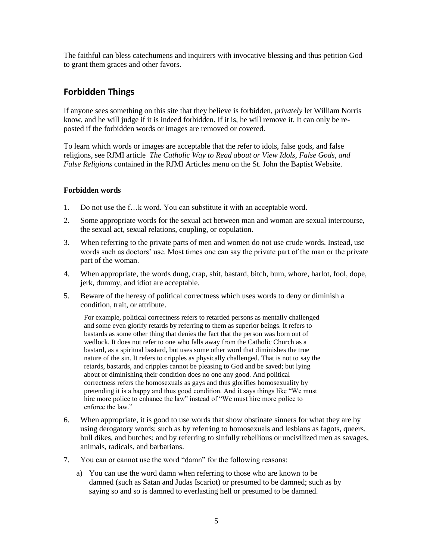The faithful can bless catechumens and inquirers with invocative blessing and thus petition God to grant them graces and other favors.

### <span id="page-4-0"></span>**Forbidden Things**

If anyone sees something on this site that they believe is forbidden, *privately* let William Norris know, and he will judge if it is indeed forbidden. If it is, he will remove it. It can only be reposted if the forbidden words or images are removed or covered.

To learn which words or images are acceptable that the refer to idols, false gods, and false religions, see RJMI article *The Catholic Way to Read about or View Idols, False Gods, and False Religions* contained in the RJMI Articles menu on the St. John the Baptist Website.

#### <span id="page-4-1"></span>**Forbidden words**

- 1. Do not use the f…k word. You can substitute it with an acceptable word.
- 2. Some appropriate words for the sexual act between man and woman are sexual intercourse, the sexual act, sexual relations, coupling, or copulation.
- 3. When referring to the private parts of men and women do not use crude words. Instead, use words such as doctors' use. Most times one can say the private part of the man or the private part of the woman.
- 4. When appropriate, the words dung, crap, shit, bastard, bitch, bum, whore, harlot, fool, dope, jerk, dummy, and idiot are acceptable.
- 5. Beware of the heresy of political correctness which uses words to deny or diminish a condition, trait, or attribute.

For example, political correctness refers to retarded persons as mentally challenged and some even glorify retards by referring to them as superior beings. It refers to bastards as some other thing that denies the fact that the person was born out of wedlock. It does not refer to one who falls away from the Catholic Church as a bastard, as a spiritual bastard, but uses some other word that diminishes the true nature of the sin. It refers to cripples as physically challenged. That is not to say the retards, bastards, and cripples cannot be pleasing to God and be saved; but lying about or diminishing their condition does no one any good. And political correctness refers the homosexuals as gays and thus glorifies homosexuality by pretending it is a happy and thus good condition. And it says things like "We must hire more police to enhance the law" instead of "We must hire more police to enforce the law."

- 6. When appropriate, it is good to use words that show obstinate sinners for what they are by using derogatory words; such as by referring to homosexuals and lesbians as fagots, queers, bull dikes, and butches; and by referring to sinfully rebellious or uncivilized men as savages, animals, radicals, and barbarians.
- 7. You can or cannot use the word "damn" for the following reasons:
	- a) You can use the word damn when referring to those who are known to be damned (such as Satan and Judas Iscariot) or presumed to be damned; such as by saying so and so is damned to everlasting hell or presumed to be damned.